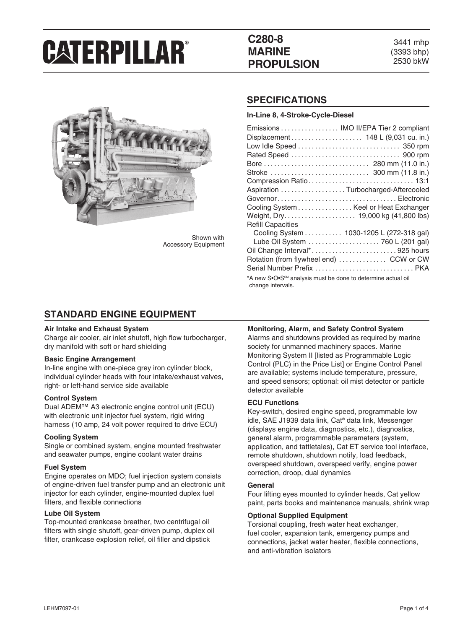# **C280-8 MARINE PROPULSION**

3441 mhp (3393 bhp) 2530 bkW



Shown with Accessory Equipment

### **SPECIFICATIONS**

**In-Line 8, 4-Stroke-Cycle-Diesel**

| Emissions  IMO II/EPA Tier 2 compliant                                                        |
|-----------------------------------------------------------------------------------------------|
| Displacement 148 L (9,031 cu. in.)                                                            |
|                                                                                               |
|                                                                                               |
|                                                                                               |
|                                                                                               |
|                                                                                               |
| Aspiration Turbocharged-Aftercooled                                                           |
|                                                                                               |
| Cooling System Keel or Heat Exchanger                                                         |
|                                                                                               |
| <b>Refill Capacities</b>                                                                      |
| Cooling System 1030-1205 L (272-318 gal)                                                      |
| Lube Oil System  760 L (201 gal)                                                              |
| Oil Change Interval*925 hours                                                                 |
| Rotation (from flywheel end)  CCW or CW                                                       |
| Serial Number Prefix  PKA                                                                     |
| *A new S•O•S <sup>SM</sup> analysis must be done to determine actual oil<br>change intervals. |

### **STANDARD ENGINE EQUIPMENT**

#### **Air Intake and Exhaust System**

Charge air cooler, air inlet shutoff, high flow turbocharger, dry manifold with soft or hard shielding

#### **Basic Engine Arrangement**

In-line engine with one-piece grey iron cylinder block, individual cylinder heads with four intake/exhaust valves, right- or left-hand service side available

#### **Control System**

Dual ADEM™ A3 electronic engine control unit (ECU) with electronic unit injector fuel system, rigid wiring harness (10 amp, 24 volt power required to drive ECU)

#### **Cooling System**

Single or combined system, engine mounted freshwater and seawater pumps, engine coolant water drains

#### **Fuel System**

Engine operates on MDO; fuel injection system consists of engine-driven fuel transfer pump and an electronic unit injector for each cylinder, engine-mounted duplex fuel filters, and flexible connections

#### **Lube Oil System**

Top-mounted crankcase breather, two centrifugal oil filters with single shutoff, gear-driven pump, duplex oil filter, crankcase explosion relief, oil filler and dipstick

#### **Monitoring, Alarm, and Safety Control System**

Alarms and shutdowns provided as required by marine society for unmanned machinery spaces. Marine Monitoring System II [listed as Programmable Logic Control (PLC) in the Price List] or Engine Control Panel are available; systems include temperature, pressure, and speed sensors; optional: oil mist detector or particle detector available

#### **ECU Functions**

Key-switch, desired engine speed, programmable low idle, SAE J1939 data link, Cat® data link, Messenger (displays engine data, diagnostics, etc.), diagnostics, general alarm, programmable parameters (system, application, and tattletales), Cat ET service tool interface, remote shutdown, shutdown notify, load feedback, overspeed shutdown, overspeed verify, engine power correction, droop, dual dynamics

#### **General**

Four lifting eyes mounted to cylinder heads, Cat yellow paint, parts books and maintenance manuals, shrink wrap

#### **Optional Supplied Equipment**

Torsional coupling, fresh water heat exchanger, fuel cooler, expansion tank, emergency pumps and connections, jacket water heater, flexible connections, and anti-vibration isolators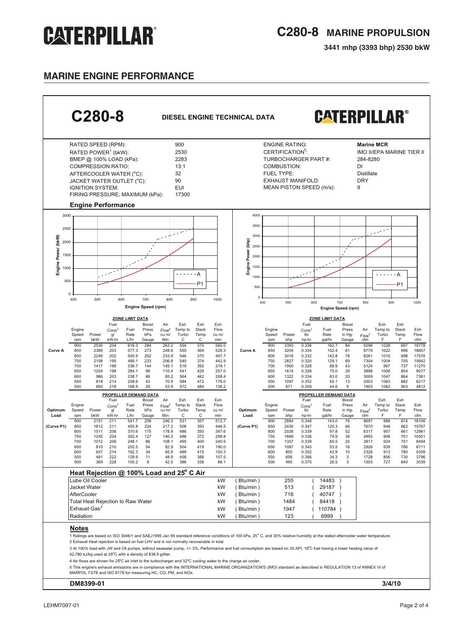**3441 mhp (3393 bhp) 2530 bkW**

### **MARINE ENGINE performance**

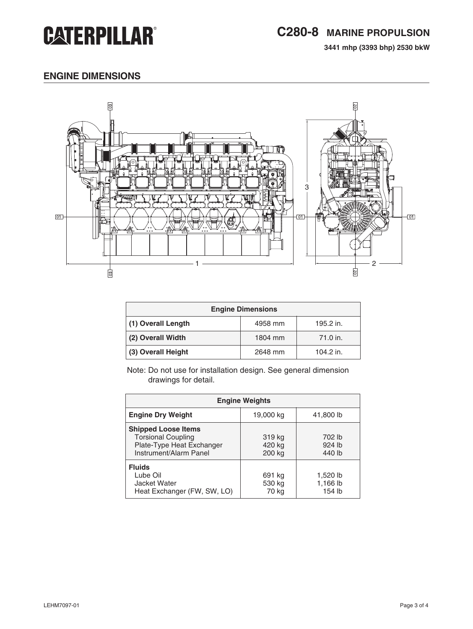**3441 mhp (3393 bhp) 2530 bkW**

# **engine dimensions**



| <b>Engine Dimensions</b> |         |           |  |
|--------------------------|---------|-----------|--|
| (1) Overall Length       | 4958 mm | 195.2 in. |  |
| (2) Overall Width        | 1804 mm | 71.0 in.  |  |
| (3) Overall Height       | 2648 mm | 104.2 in. |  |

Note: Do not use for installation design. See general dimension drawings for detail.

| <b>Engine Weights</b>                                                                                          |                            |                                |  |
|----------------------------------------------------------------------------------------------------------------|----------------------------|--------------------------------|--|
| <b>Engine Dry Weight</b>                                                                                       | 19,000 kg                  | 41,800 lb                      |  |
| <b>Shipped Loose Items</b><br><b>Torsional Coupling</b><br>Plate-Type Heat Exchanger<br>Instrument/Alarm Panel | 319 kg<br>420 kg<br>200 kg | 702 lb<br>$924$ lb<br>440 lb   |  |
| <b>Fluids</b><br>Lube Oil<br>Jacket Water<br>Heat Exchanger (FW, SW, LO)                                       | 691 kg<br>530 kg<br>70 kg  | 1,520 lb<br>1,166 lb<br>154 lb |  |